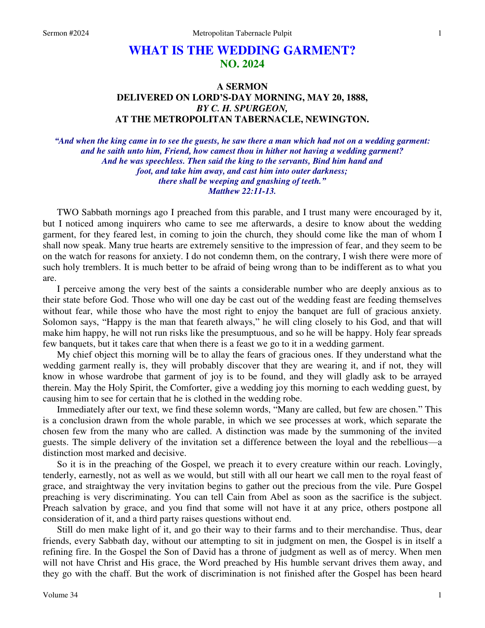# **WHAT IS THE WEDDING GARMENT? NO. 2024**

# **A SERMON DELIVERED ON LORD'S-DAY MORNING, MAY 20, 1888,**  *BY C. H. SPURGEON,*  **AT THE METROPOLITAN TABERNACLE, NEWINGTON.**

*"And when the king came in to see the guests, he saw there a man which had not on a wedding garment: and he saith unto him, Friend, how camest thou in hither not having a wedding garment? And he was speechless. Then said the king to the servants, Bind him hand and foot, and take him away, and cast him into outer darkness; there shall be weeping and gnashing of teeth." Matthew 22:11-13.* 

TWO Sabbath mornings ago I preached from this parable, and I trust many were encouraged by it, but I noticed among inquirers who came to see me afterwards, a desire to know about the wedding garment, for they feared lest, in coming to join the church, they should come like the man of whom I shall now speak. Many true hearts are extremely sensitive to the impression of fear, and they seem to be on the watch for reasons for anxiety. I do not condemn them, on the contrary, I wish there were more of such holy tremblers. It is much better to be afraid of being wrong than to be indifferent as to what you are.

I perceive among the very best of the saints a considerable number who are deeply anxious as to their state before God. Those who will one day be cast out of the wedding feast are feeding themselves without fear, while those who have the most right to enjoy the banquet are full of gracious anxiety. Solomon says, "Happy is the man that feareth always," he will cling closely to his God, and that will make him happy, he will not run risks like the presumptuous, and so he will be happy. Holy fear spreads few banquets, but it takes care that when there is a feast we go to it in a wedding garment.

My chief object this morning will be to allay the fears of gracious ones. If they understand what the wedding garment really is, they will probably discover that they are wearing it, and if not, they will know in whose wardrobe that garment of joy is to be found, and they will gladly ask to be arrayed therein. May the Holy Spirit, the Comforter, give a wedding joy this morning to each wedding guest, by causing him to see for certain that he is clothed in the wedding robe.

Immediately after our text, we find these solemn words, "Many are called, but few are chosen." This is a conclusion drawn from the whole parable, in which we see processes at work, which separate the chosen few from the many who are called. A distinction was made by the summoning of the invited guests. The simple delivery of the invitation set a difference between the loyal and the rebellious—a distinction most marked and decisive.

So it is in the preaching of the Gospel, we preach it to every creature within our reach. Lovingly, tenderly, earnestly, not as well as we would, but still with all our heart we call men to the royal feast of grace, and straightway the very invitation begins to gather out the precious from the vile. Pure Gospel preaching is very discriminating. You can tell Cain from Abel as soon as the sacrifice is the subject. Preach salvation by grace, and you find that some will not have it at any price, others postpone all consideration of it, and a third party raises questions without end.

Still do men make light of it, and go their way to their farms and to their merchandise. Thus, dear friends, every Sabbath day, without our attempting to sit in judgment on men, the Gospel is in itself a refining fire. In the Gospel the Son of David has a throne of judgment as well as of mercy. When men will not have Christ and His grace, the Word preached by His humble servant drives them away, and they go with the chaff. But the work of discrimination is not finished after the Gospel has been heard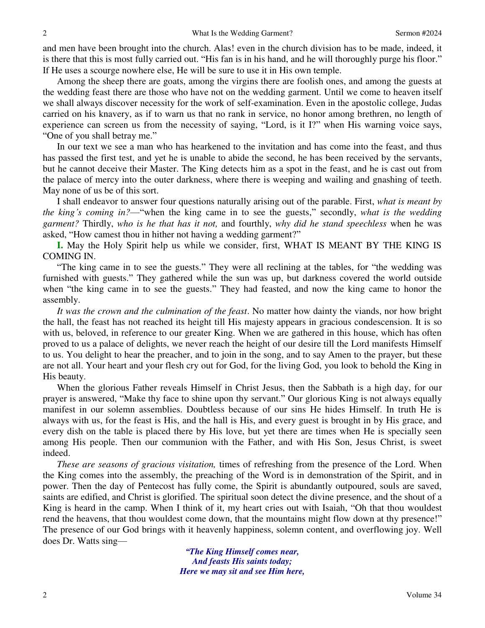and men have been brought into the church. Alas! even in the church division has to be made, indeed, it is there that this is most fully carried out. "His fan is in his hand, and he will thoroughly purge his floor." If He uses a scourge nowhere else, He will be sure to use it in His own temple.

Among the sheep there are goats, among the virgins there are foolish ones, and among the guests at the wedding feast there are those who have not on the wedding garment. Until we come to heaven itself we shall always discover necessity for the work of self-examination. Even in the apostolic college, Judas carried on his knavery, as if to warn us that no rank in service, no honor among brethren, no length of experience can screen us from the necessity of saying, "Lord, is it I?" when His warning voice says, "One of you shall betray me."

In our text we see a man who has hearkened to the invitation and has come into the feast, and thus has passed the first test, and yet he is unable to abide the second, he has been received by the servants, but he cannot deceive their Master. The King detects him as a spot in the feast, and he is cast out from the palace of mercy into the outer darkness, where there is weeping and wailing and gnashing of teeth. May none of us be of this sort.

I shall endeavor to answer four questions naturally arising out of the parable. First, *what is meant by the king's coming in?*—"when the king came in to see the guests," secondly, *what is the wedding garment?* Thirdly, *who is he that has it not,* and fourthly, *why did he stand speechless* when he was asked, "How camest thou in hither not having a wedding garment?"

**I.** May the Holy Spirit help us while we consider, first, WHAT IS MEANT BY THE KING IS COMING IN.

"The king came in to see the guests." They were all reclining at the tables, for "the wedding was furnished with guests." They gathered while the sun was up, but darkness covered the world outside when "the king came in to see the guests." They had feasted, and now the king came to honor the assembly.

*It was the crown and the culmination of the feast*. No matter how dainty the viands, nor how bright the hall, the feast has not reached its height till His majesty appears in gracious condescension. It is so with us, beloved, in reference to our greater King. When we are gathered in this house, which has often proved to us a palace of delights, we never reach the height of our desire till the Lord manifests Himself to us. You delight to hear the preacher, and to join in the song, and to say Amen to the prayer, but these are not all. Your heart and your flesh cry out for God, for the living God, you look to behold the King in His beauty.

When the glorious Father reveals Himself in Christ Jesus, then the Sabbath is a high day, for our prayer is answered, "Make thy face to shine upon thy servant." Our glorious King is not always equally manifest in our solemn assemblies. Doubtless because of our sins He hides Himself. In truth He is always with us, for the feast is His, and the hall is His, and every guest is brought in by His grace, and every dish on the table is placed there by His love, but yet there are times when He is specially seen among His people. Then our communion with the Father, and with His Son, Jesus Christ, is sweet indeed.

*These are seasons of gracious visitation,* times of refreshing from the presence of the Lord. When the King comes into the assembly, the preaching of the Word is in demonstration of the Spirit, and in power. Then the day of Pentecost has fully come, the Spirit is abundantly outpoured, souls are saved, saints are edified, and Christ is glorified. The spiritual soon detect the divine presence, and the shout of a King is heard in the camp. When I think of it, my heart cries out with Isaiah, "Oh that thou wouldest rend the heavens, that thou wouldest come down, that the mountains might flow down at thy presence!" The presence of our God brings with it heavenly happiness, solemn content, and overflowing joy. Well does Dr. Watts sing—

> *"The King Himself comes near, And feasts His saints today; Here we may sit and see Him here,*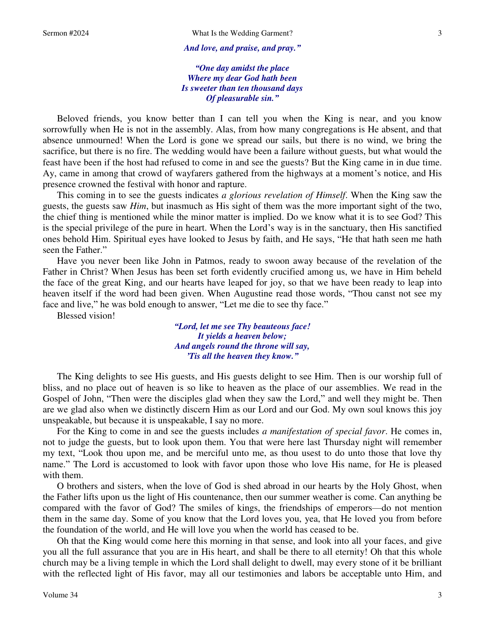*And love, and praise, and pray."*

*"One day amidst the place Where my dear God hath been Is sweeter than ten thousand days Of pleasurable sin."*

Beloved friends, you know better than I can tell you when the King is near, and you know sorrowfully when He is not in the assembly. Alas, from how many congregations is He absent, and that absence unmourned! When the Lord is gone we spread our sails, but there is no wind, we bring the sacrifice, but there is no fire. The wedding would have been a failure without guests, but what would the feast have been if the host had refused to come in and see the guests? But the King came in in due time. Ay, came in among that crowd of wayfarers gathered from the highways at a moment's notice, and His presence crowned the festival with honor and rapture.

This coming in to see the guests indicates *a glorious revelation of Himself*. When the King saw the guests, the guests saw *Him*, but inasmuch as His sight of them was the more important sight of the two, the chief thing is mentioned while the minor matter is implied. Do we know what it is to see God? This is the special privilege of the pure in heart. When the Lord's way is in the sanctuary, then His sanctified ones behold Him. Spiritual eyes have looked to Jesus by faith, and He says, "He that hath seen me hath seen the Father."

Have you never been like John in Patmos, ready to swoon away because of the revelation of the Father in Christ? When Jesus has been set forth evidently crucified among us, we have in Him beheld the face of the great King, and our hearts have leaped for joy, so that we have been ready to leap into heaven itself if the word had been given. When Augustine read those words, "Thou canst not see my face and live," he was bold enough to answer, "Let me die to see thy face."

Blessed vision!

*"Lord, let me see Thy beauteous face! It yields a heaven below; And angels round the throne will say, 'Tis all the heaven they know."*

The King delights to see His guests, and His guests delight to see Him. Then is our worship full of bliss, and no place out of heaven is so like to heaven as the place of our assemblies. We read in the Gospel of John, "Then were the disciples glad when they saw the Lord," and well they might be. Then are we glad also when we distinctly discern Him as our Lord and our God. My own soul knows this joy unspeakable, but because it is unspeakable, I say no more.

For the King to come in and see the guests includes *a manifestation of special favor*. He comes in, not to judge the guests, but to look upon them. You that were here last Thursday night will remember my text, "Look thou upon me, and be merciful unto me, as thou usest to do unto those that love thy name." The Lord is accustomed to look with favor upon those who love His name, for He is pleased with them.

O brothers and sisters, when the love of God is shed abroad in our hearts by the Holy Ghost, when the Father lifts upon us the light of His countenance, then our summer weather is come. Can anything be compared with the favor of God? The smiles of kings, the friendships of emperors—do not mention them in the same day. Some of you know that the Lord loves you, yea, that He loved you from before the foundation of the world, and He will love you when the world has ceased to be.

Oh that the King would come here this morning in that sense, and look into all your faces, and give you all the full assurance that you are in His heart, and shall be there to all eternity! Oh that this whole church may be a living temple in which the Lord shall delight to dwell, may every stone of it be brilliant with the reflected light of His favor, may all our testimonies and labors be acceptable unto Him, and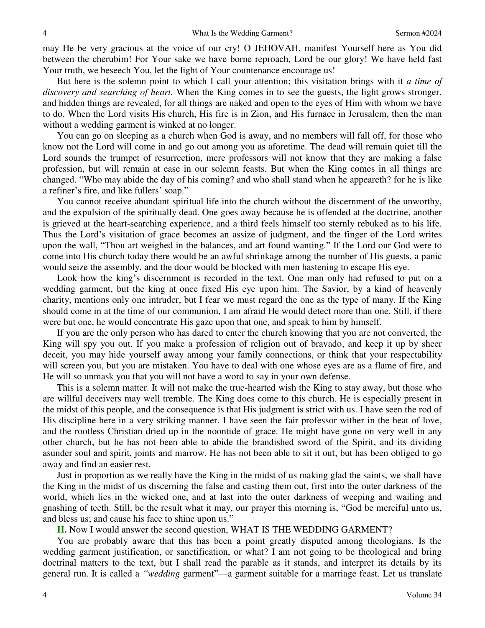may He be very gracious at the voice of our cry! O JEHOVAH, manifest Yourself here as You did between the cherubim! For Your sake we have borne reproach, Lord be our glory! We have held fast Your truth, we beseech You, let the light of Your countenance encourage us!

But here is the solemn point to which I call your attention; this visitation brings with it *a time of discovery and searching of heart.* When the King comes in to see the guests, the light grows stronger, and hidden things are revealed, for all things are naked and open to the eyes of Him with whom we have to do. When the Lord visits His church, His fire is in Zion, and His furnace in Jerusalem, then the man without a wedding garment is winked at no longer.

You can go on sleeping as a church when God is away, and no members will fall off, for those who know not the Lord will come in and go out among you as aforetime. The dead will remain quiet till the Lord sounds the trumpet of resurrection, mere professors will not know that they are making a false profession, but will remain at ease in our solemn feasts. But when the King comes in all things are changed. "Who may abide the day of his coming? and who shall stand when he appeareth? for he is like a refiner's fire, and like fullers' soap."

You cannot receive abundant spiritual life into the church without the discernment of the unworthy, and the expulsion of the spiritually dead. One goes away because he is offended at the doctrine, another is grieved at the heart-searching experience, and a third feels himself too sternly rebuked as to his life. Thus the Lord's visitation of grace becomes an assize of judgment, and the finger of the Lord writes upon the wall, "Thou art weighed in the balances, and art found wanting." If the Lord our God were to come into His church today there would be an awful shrinkage among the number of His guests, a panic would seize the assembly, and the door would be blocked with men hastening to escape His eye.

Look how the king's discernment is recorded in the text. One man only had refused to put on a wedding garment, but the king at once fixed His eye upon him. The Savior, by a kind of heavenly charity, mentions only one intruder, but I fear we must regard the one as the type of many. If the King should come in at the time of our communion, I am afraid He would detect more than one. Still, if there were but one, he would concentrate His gaze upon that one, and speak to him by himself.

If you are the only person who has dared to enter the church knowing that you are not converted, the King will spy you out. If you make a profession of religion out of bravado, and keep it up by sheer deceit, you may hide yourself away among your family connections, or think that your respectability will screen you, but you are mistaken. You have to deal with one whose eyes are as a flame of fire, and He will so unmask you that you will not have a word to say in your own defense.

This is a solemn matter. It will not make the true-hearted wish the King to stay away, but those who are willful deceivers may well tremble. The King does come to this church. He is especially present in the midst of this people, and the consequence is that His judgment is strict with us. I have seen the rod of His discipline here in a very striking manner. I have seen the fair professor wither in the heat of love, and the rootless Christian dried up in the noontide of grace. He might have gone on very well in any other church, but he has not been able to abide the brandished sword of the Spirit, and its dividing asunder soul and spirit, joints and marrow. He has not been able to sit it out, but has been obliged to go away and find an easier rest.

Just in proportion as we really have the King in the midst of us making glad the saints, we shall have the King in the midst of us discerning the false and casting them out, first into the outer darkness of the world, which lies in the wicked one, and at last into the outer darkness of weeping and wailing and gnashing of teeth. Still, be the result what it may, our prayer this morning is, "God be merciful unto us, and bless us; and cause his face to shine upon us."

**II.** Now I would answer the second question, WHAT IS THE WEDDING GARMENT?

You are probably aware that this has been a point greatly disputed among theologians. Is the wedding garment justification, or sanctification, or what? I am not going to be theological and bring doctrinal matters to the text, but I shall read the parable as it stands, and interpret its details by its general run. It is called a *"wedding* garment"—a garment suitable for a marriage feast. Let us translate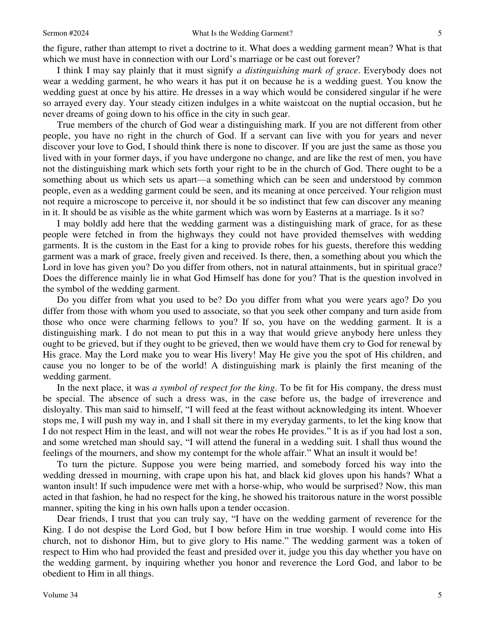the figure, rather than attempt to rivet a doctrine to it. What does a wedding garment mean? What is that which we must have in connection with our Lord's marriage or be cast out forever?

I think I may say plainly that it must signify *a distinguishing mark of grace*. Everybody does not wear a wedding garment, he who wears it has put it on because he is a wedding guest. You know the wedding guest at once by his attire. He dresses in a way which would be considered singular if he were so arrayed every day. Your steady citizen indulges in a white waistcoat on the nuptial occasion, but he never dreams of going down to his office in the city in such gear.

True members of the church of God wear a distinguishing mark. If you are not different from other people, you have no right in the church of God. If a servant can live with you for years and never discover your love to God, I should think there is none to discover. If you are just the same as those you lived with in your former days, if you have undergone no change, and are like the rest of men, you have not the distinguishing mark which sets forth your right to be in the church of God. There ought to be a something about us which sets us apart—a something which can be seen and understood by common people, even as a wedding garment could be seen, and its meaning at once perceived. Your religion must not require a microscope to perceive it, nor should it be so indistinct that few can discover any meaning in it. It should be as visible as the white garment which was worn by Easterns at a marriage. Is it so?

I may boldly add here that the wedding garment was a distinguishing mark of grace, for as these people were fetched in from the highways they could not have provided themselves with wedding garments. It is the custom in the East for a king to provide robes for his guests, therefore this wedding garment was a mark of grace, freely given and received. Is there, then, a something about you which the Lord in love has given you? Do you differ from others, not in natural attainments, but in spiritual grace? Does the difference mainly lie in what God Himself has done for you? That is the question involved in the symbol of the wedding garment.

Do you differ from what you used to be? Do you differ from what you were years ago? Do you differ from those with whom you used to associate, so that you seek other company and turn aside from those who once were charming fellows to you? If so, you have on the wedding garment. It is a distinguishing mark. I do not mean to put this in a way that would grieve anybody here unless they ought to be grieved, but if they ought to be grieved, then we would have them cry to God for renewal by His grace. May the Lord make you to wear His livery! May He give you the spot of His children, and cause you no longer to be of the world! A distinguishing mark is plainly the first meaning of the wedding garment.

In the next place, it was *a symbol of respect for the king*. To be fit for His company, the dress must be special. The absence of such a dress was, in the case before us, the badge of irreverence and disloyalty. This man said to himself, "I will feed at the feast without acknowledging its intent. Whoever stops me, I will push my way in, and I shall sit there in my everyday garments, to let the king know that I do not respect Him in the least, and will not wear the robes He provides." It is as if you had lost a son, and some wretched man should say, "I will attend the funeral in a wedding suit. I shall thus wound the feelings of the mourners, and show my contempt for the whole affair." What an insult it would be!

To turn the picture. Suppose you were being married, and somebody forced his way into the wedding dressed in mourning, with crape upon his hat, and black kid gloves upon his hands? What a wanton insult! If such impudence were met with a horse-whip, who would be surprised? Now, this man acted in that fashion, he had no respect for the king, he showed his traitorous nature in the worst possible manner, spiting the king in his own halls upon a tender occasion.

Dear friends, I trust that you can truly say, "I have on the wedding garment of reverence for the King. I do not despise the Lord God, but I bow before Him in true worship. I would come into His church, not to dishonor Him, but to give glory to His name." The wedding garment was a token of respect to Him who had provided the feast and presided over it, judge you this day whether you have on the wedding garment, by inquiring whether you honor and reverence the Lord God, and labor to be obedient to Him in all things.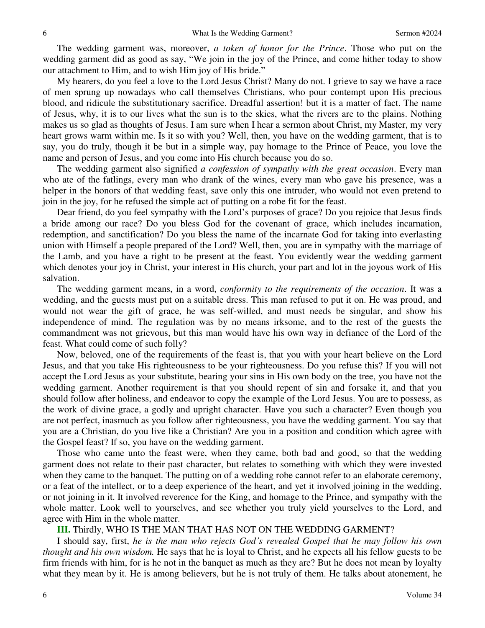The wedding garment was, moreover, *a token of honor for the Prince*. Those who put on the wedding garment did as good as say, "We join in the joy of the Prince, and come hither today to show our attachment to Him, and to wish Him joy of His bride."

My hearers, do you feel a love to the Lord Jesus Christ? Many do not. I grieve to say we have a race of men sprung up nowadays who call themselves Christians, who pour contempt upon His precious blood, and ridicule the substitutionary sacrifice. Dreadful assertion! but it is a matter of fact. The name of Jesus, why, it is to our lives what the sun is to the skies, what the rivers are to the plains. Nothing makes us so glad as thoughts of Jesus. I am sure when I hear a sermon about Christ, my Master, my very heart grows warm within me. Is it so with you? Well, then, you have on the wedding garment, that is to say, you do truly, though it be but in a simple way, pay homage to the Prince of Peace, you love the name and person of Jesus, and you come into His church because you do so.

The wedding garment also signified *a confession of sympathy with the great occasion*. Every man who ate of the fatlings, every man who drank of the wines, every man who gave his presence, was a helper in the honors of that wedding feast, save only this one intruder, who would not even pretend to join in the joy, for he refused the simple act of putting on a robe fit for the feast.

Dear friend, do you feel sympathy with the Lord's purposes of grace? Do you rejoice that Jesus finds a bride among our race? Do you bless God for the covenant of grace, which includes incarnation, redemption, and sanctification? Do you bless the name of the incarnate God for taking into everlasting union with Himself a people prepared of the Lord? Well, then, you are in sympathy with the marriage of the Lamb, and you have a right to be present at the feast. You evidently wear the wedding garment which denotes your joy in Christ, your interest in His church, your part and lot in the joyous work of His salvation.

The wedding garment means, in a word, *conformity to the requirements of the occasion*. It was a wedding, and the guests must put on a suitable dress. This man refused to put it on. He was proud, and would not wear the gift of grace, he was self-willed, and must needs be singular, and show his independence of mind. The regulation was by no means irksome, and to the rest of the guests the commandment was not grievous, but this man would have his own way in defiance of the Lord of the feast. What could come of such folly?

Now, beloved, one of the requirements of the feast is, that you with your heart believe on the Lord Jesus, and that you take His righteousness to be your righteousness. Do you refuse this? If you will not accept the Lord Jesus as your substitute, bearing your sins in His own body on the tree, you have not the wedding garment. Another requirement is that you should repent of sin and forsake it, and that you should follow after holiness, and endeavor to copy the example of the Lord Jesus. You are to possess, as the work of divine grace, a godly and upright character. Have you such a character? Even though you are not perfect, inasmuch as you follow after righteousness, you have the wedding garment. You say that you are a Christian, do you live like a Christian? Are you in a position and condition which agree with the Gospel feast? If so, you have on the wedding garment.

Those who came unto the feast were, when they came, both bad and good, so that the wedding garment does not relate to their past character, but relates to something with which they were invested when they came to the banquet. The putting on of a wedding robe cannot refer to an elaborate ceremony, or a feat of the intellect, or to a deep experience of the heart, and yet it involved joining in the wedding, or not joining in it. It involved reverence for the King, and homage to the Prince, and sympathy with the whole matter. Look well to yourselves, and see whether you truly yield yourselves to the Lord, and agree with Him in the whole matter.

#### **III.** Thirdly, WHO IS THE MAN THAT HAS NOT ON THE WEDDING GARMENT?

I should say, first, *he is the man who rejects God's revealed Gospel that he may follow his own thought and his own wisdom.* He says that he is loyal to Christ, and he expects all his fellow guests to be firm friends with him, for is he not in the banquet as much as they are? But he does not mean by loyalty what they mean by it. He is among believers, but he is not truly of them. He talks about atonement, he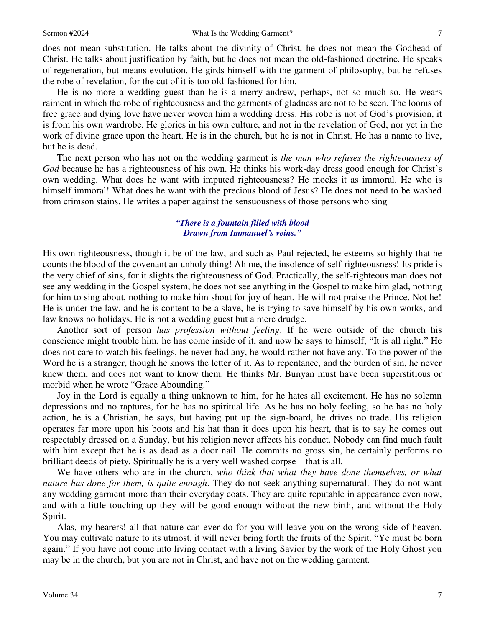does not mean substitution. He talks about the divinity of Christ, he does not mean the Godhead of Christ. He talks about justification by faith, but he does not mean the old-fashioned doctrine. He speaks of regeneration, but means evolution. He girds himself with the garment of philosophy, but he refuses the robe of revelation, for the cut of it is too old-fashioned for him.

He is no more a wedding guest than he is a merry-andrew, perhaps, not so much so. He wears raiment in which the robe of righteousness and the garments of gladness are not to be seen. The looms of free grace and dying love have never woven him a wedding dress. His robe is not of God's provision, it is from his own wardrobe. He glories in his own culture, and not in the revelation of God, nor yet in the work of divine grace upon the heart. He is in the church, but he is not in Christ. He has a name to live, but he is dead.

The next person who has not on the wedding garment is *the man who refuses the righteousness of God* because he has a righteousness of his own. He thinks his work-day dress good enough for Christ's own wedding. What does he want with imputed righteousness? He mocks it as immoral. He who is himself immoral! What does he want with the precious blood of Jesus? He does not need to be washed from crimson stains. He writes a paper against the sensuousness of those persons who sing—

### *"There is a fountain filled with blood Drawn from Immanuel's veins."*

His own righteousness, though it be of the law, and such as Paul rejected, he esteems so highly that he counts the blood of the covenant an unholy thing! Ah me, the insolence of self-righteousness! Its pride is the very chief of sins, for it slights the righteousness of God. Practically, the self-righteous man does not see any wedding in the Gospel system, he does not see anything in the Gospel to make him glad, nothing for him to sing about, nothing to make him shout for joy of heart. He will not praise the Prince. Not he! He is under the law, and he is content to be a slave, he is trying to save himself by his own works, and law knows no holidays. He is not a wedding guest but a mere drudge.

Another sort of person *has profession without feeling*. If he were outside of the church his conscience might trouble him, he has come inside of it, and now he says to himself, "It is all right." He does not care to watch his feelings, he never had any, he would rather not have any. To the power of the Word he is a stranger, though he knows the letter of it. As to repentance, and the burden of sin, he never knew them, and does not want to know them. He thinks Mr. Bunyan must have been superstitious or morbid when he wrote "Grace Abounding."

Joy in the Lord is equally a thing unknown to him, for he hates all excitement. He has no solemn depressions and no raptures, for he has no spiritual life. As he has no holy feeling, so he has no holy action, he is a Christian, he says, but having put up the sign-board, he drives no trade. His religion operates far more upon his boots and his hat than it does upon his heart, that is to say he comes out respectably dressed on a Sunday, but his religion never affects his conduct. Nobody can find much fault with him except that he is as dead as a door nail. He commits no gross sin, he certainly performs no brilliant deeds of piety. Spiritually he is a very well washed corpse—that is all.

We have others who are in the church, *who think that what they have done themselves, or what nature has done for them, is quite enough*. They do not seek anything supernatural. They do not want any wedding garment more than their everyday coats. They are quite reputable in appearance even now, and with a little touching up they will be good enough without the new birth, and without the Holy Spirit.

Alas, my hearers! all that nature can ever do for you will leave you on the wrong side of heaven. You may cultivate nature to its utmost, it will never bring forth the fruits of the Spirit. "Ye must be born again." If you have not come into living contact with a living Savior by the work of the Holy Ghost you may be in the church, but you are not in Christ, and have not on the wedding garment.

7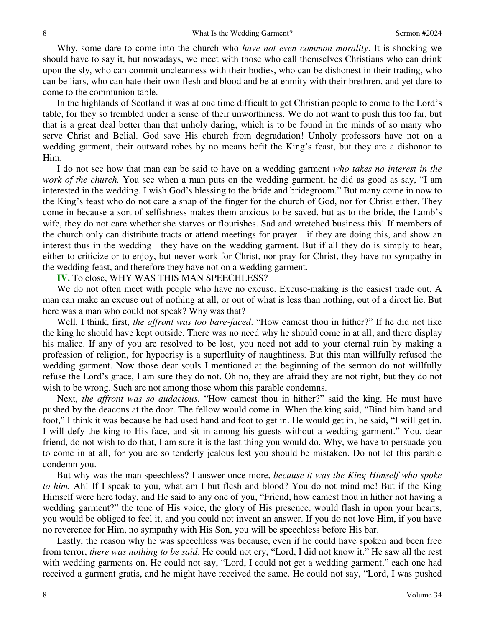Why, some dare to come into the church who *have not even common morality*. It is shocking we should have to say it, but nowadays, we meet with those who call themselves Christians who can drink upon the sly, who can commit uncleanness with their bodies, who can be dishonest in their trading, who can be liars, who can hate their own flesh and blood and be at enmity with their brethren, and yet dare to come to the communion table.

In the highlands of Scotland it was at one time difficult to get Christian people to come to the Lord's table, for they so trembled under a sense of their unworthiness. We do not want to push this too far, but that is a great deal better than that unholy daring, which is to be found in the minds of so many who serve Christ and Belial. God save His church from degradation! Unholy professors have not on a wedding garment, their outward robes by no means befit the King's feast, but they are a dishonor to Him.

I do not see how that man can be said to have on a wedding garment *who takes no interest in the work of the church.* You see when a man puts on the wedding garment, he did as good as say, "I am interested in the wedding. I wish God's blessing to the bride and bridegroom." But many come in now to the King's feast who do not care a snap of the finger for the church of God, nor for Christ either. They come in because a sort of selfishness makes them anxious to be saved, but as to the bride, the Lamb's wife, they do not care whether she starves or flourishes. Sad and wretched business this! If members of the church only can distribute tracts or attend meetings for prayer—if they are doing this, and show an interest thus in the wedding—they have on the wedding garment. But if all they do is simply to hear, either to criticize or to enjoy, but never work for Christ, nor pray for Christ, they have no sympathy in the wedding feast, and therefore they have not on a wedding garment.

**IV.** To close, WHY WAS THIS MAN SPEECHLESS?

We do not often meet with people who have no excuse. Excuse-making is the easiest trade out. A man can make an excuse out of nothing at all, or out of what is less than nothing, out of a direct lie. But here was a man who could not speak? Why was that?

Well, I think, first, *the affront was too bare-faced*. "How camest thou in hither?" If he did not like the king he should have kept outside. There was no need why he should come in at all, and there display his malice. If any of you are resolved to be lost, you need not add to your eternal ruin by making a profession of religion, for hypocrisy is a superfluity of naughtiness. But this man willfully refused the wedding garment. Now those dear souls I mentioned at the beginning of the sermon do not willfully refuse the Lord's grace, I am sure they do not. Oh no, they are afraid they are not right, but they do not wish to be wrong. Such are not among those whom this parable condemns.

Next, *the affront was so audacious.* "How camest thou in hither?" said the king. He must have pushed by the deacons at the door. The fellow would come in. When the king said, "Bind him hand and foot," I think it was because he had used hand and foot to get in. He would get in, he said, "I will get in. I will defy the king to His face, and sit in among his guests without a wedding garment." You, dear friend, do not wish to do that, I am sure it is the last thing you would do. Why, we have to persuade you to come in at all, for you are so tenderly jealous lest you should be mistaken. Do not let this parable condemn you.

But why was the man speechless? I answer once more, *because it was the King Himself who spoke to him.* Ah! If I speak to you, what am I but flesh and blood? You do not mind me! But if the King Himself were here today, and He said to any one of you, "Friend, how camest thou in hither not having a wedding garment?" the tone of His voice, the glory of His presence, would flash in upon your hearts, you would be obliged to feel it, and you could not invent an answer. If you do not love Him, if you have no reverence for Him, no sympathy with His Son, you will be speechless before His bar.

Lastly, the reason why he was speechless was because, even if he could have spoken and been free from terror, *there was nothing to be said*. He could not cry, "Lord, I did not know it." He saw all the rest with wedding garments on. He could not say, "Lord, I could not get a wedding garment," each one had received a garment gratis, and he might have received the same. He could not say, "Lord, I was pushed